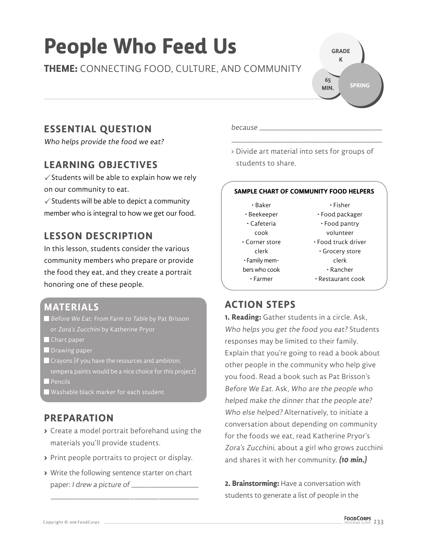# **People Who Feed Us**

**THEME:** CONNECTING FOOD, CULTURE, AND COMMUNITY

# **ESSENTIAL QUESTION**

Who helps provide the food we eat?

# **LEARNING OBJECTIVES**

 $\checkmark$  Students will be able to explain how we rely on our community to eat.

 $\checkmark$  Students will be able to depict a community member who is integral to how we get our food.

# **LESSON DESCRIPTION**

In this lesson, students consider the various community members who prepare or provide the food they eat, and they create a portrait honoring one of these people.

## **MATERIALS**

- $\blacksquare$  Before We Eat: From Farm to Table by Pat Brisson
- Chart paper
- **Drawing paper**
- Crayons (if you have the resources and ambition, tempera paints would be a nice choice for this project)
- Pencils<sup>'</sup>
- $\blacksquare$  Washable black marker for each student

# **PREPARATION**

- **>** Create a model portrait beforehand using the materials you'll provide students.
- **>** Print people portraits to project or display.
- **>** Write the following sentence starter on chart paper: I drew a picture of \_\_\_\_\_\_

\_\_\_\_\_ \_\_\_\_\_ \_\_\_\_\_ \_\_\_\_\_ \_\_\_\_\_ \_\_\_\_\_ \_ \_\_\_\_\_\_\_\_\_ \_\_\_\_\_ \_\_\_\_\_ \_\_\_\_\_

because

> Divide art material into sets for groups of students to share.

\_\_\_\_\_ \_\_\_\_\_ \_\_\_\_\_ \_\_\_\_\_ \_\_\_\_\_ \_\_\_\_\_ \_\_\_\_\_ \_\_\_\_\_ \_\_\_\_\_ \_\_\_\_\_ \_\_\_\_\_\_\_

#### **SAMPLE CHART OF COMMUNITY FOOD HELPERS**

- Baker • Beekeeper • Cafeteria cook • Corner store clerk • Family members who cook • Farmer
- Fisher • Food packager
- Food pantry
- volunteer
- Food truck driver • Grocery store clerk
	- Rancher
- Restaurant cook

## **ACTION STEPS**

**1. Reading:** Gather students in a circle. Ask, Who helps you get the food you eat? Students responses may be limited to their family. Explain that you're going to read a book about other people in the community who help give you food. Read a book such as Pat Brisson's Before We Eat. Ask, Who are the people who helped make the dinner that the people ate? Who else helped? Alternatively, to initiate a conversation about depending on community for the foods we eat, read Katherine Pryor's Zora's Zucchini, about a girl who grows zucchini and shares it with her community. **(10 min.)**

**2. Brainstorming:** Have a conversation with students to generate a list of people in the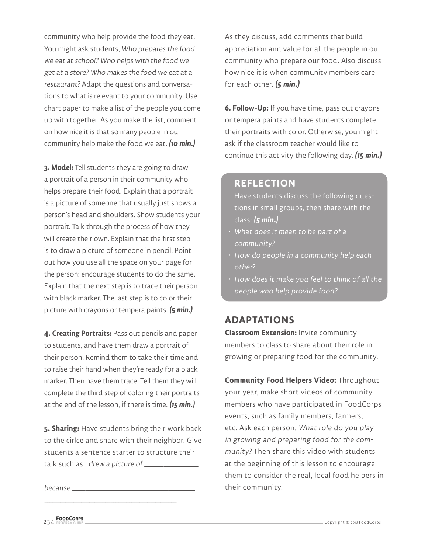community who help provide the food they eat. You might ask students, Who prepares the food we eat at school? Who helps with the food we get at a store? Who makes the food we eat at a restaurant? Adapt the questions and conversations to what is relevant to your community. Use chart paper to make a list of the people you come up with together. As you make the list, comment on how nice it is that so many people in our community help make the food we eat. **(10 min.)**

**3. Model:** Tell students they are going to draw a portrait of a person in their community who helps prepare their food. Explain that a portrait is a picture of someone that usually just shows a person's head and shoulders. Show students your portrait. Talk through the process of how they will create their own. Explain that the first step is to draw a picture of someone in pencil. Point out how you use all the space on your page for the person; encourage students to do the same. Explain that the next step is to trace their person with black marker. The last step is to color their picture with crayons or tempera paints. **(5 min.)**

**4. Creating Portraits:** Pass out pencils and paper to students, and have them draw a portrait of their person. Remind them to take their time and to raise their hand when they're ready for a black marker. Then have them trace. Tell them they will complete the third step of coloring their portraits at the end of the lesson, if there is time. **(15 min.)**

**5. Sharing:** Have students bring their work back to the cirlce and share with their neighbor. Give students a sentence starter to structure their talk such as, drew a picture of \_\_\_\_\_\_\_\_\_\_\_

\_\_\_\_\_ \_\_\_\_\_ \_\_\_\_\_ \_\_\_\_\_ \_\_\_\_\_ \_\_\_\_\_\_ \_\_\_\_\_\_ \_\_\_\_\_ \_\_\_\_\_ \_ \_\_\_\_\_\_\_\_\_

\_\_\_\_\_ \_\_\_\_\_ \_\_\_\_\_ \_\_\_\_\_ \_\_\_\_\_ \_\_\_\_\_ \_\_\_\_\_ \_\_\_\_\_ \_\_\_\_\_ \_\_\_\_\_

 $because \_\_$ 

As they discuss, add comments that build appreciation and value for all the people in our community who prepare our food. Also discuss how nice it is when community members care for each other. **(5 min.)**

**6. Follow-Up:** If you have time, pass out crayons or tempera paints and have students complete their portraits with color. Otherwise, you might ask if the classroom teacher would like to continue this activity the following day. **(15 min.)**

### **REFLECTION**

Have students discuss the following questions in small groups, then share with the class: **(5 min.)**

- What does it mean to be part of a community?
- How do people in a community help each other?
- How does it make you feel to think of all the people who help provide food?

## **ADAPTATIONS**

**Classroom Extension:** Invite community members to class to share about their role in growing or preparing food for the community.

**Community Food Helpers Video:** Throughout your year, make short videos of community members who have participated in FoodCorps events, such as family members, farmers, etc. Ask each person, What role do you play in growing and preparing food for the community? Then share this video with students at the beginning of this lesson to encourage them to consider the real, local food helpers in their community.